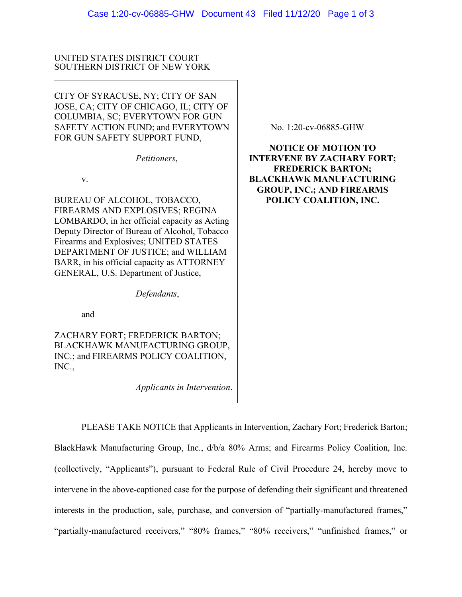## UNITED STATES DISTRICT COURT SOUTHERN DISTRICT OF NEW YORK

CITY OF SYRACUSE, NY; CITY OF SAN JOSE, CA; CITY OF CHICAGO, IL; CITY OF COLUMBIA, SC; EVERYTOWN FOR GUN SAFETY ACTION FUND; and EVERYTOWN FOR GUN SAFETY SUPPORT FUND,

*Petitioners*,

v.

BUREAU OF ALCOHOL, TOBACCO, FIREARMS AND EXPLOSIVES; REGINA LOMBARDO, in her official capacity as Acting Deputy Director of Bureau of Alcohol, Tobacco Firearms and Explosives; UNITED STATES DEPARTMENT OF JUSTICE; and WILLIAM BARR, in his official capacity as ATTORNEY GENERAL, U.S. Department of Justice,

*Defendants*,

and

ZACHARY FORT; FREDERICK BARTON; BLACKHAWK MANUFACTURING GROUP, INC.; and FIREARMS POLICY COALITION, INC.,

*Applicants in Intervention*.

No. 1:20-cv-06885-GHW

**NOTICE OF MOTION TO INTERVENE BY ZACHARY FORT; FREDERICK BARTON; BLACKHAWK MANUFACTURING GROUP, INC.; AND FIREARMS POLICY COALITION, INC.**

PLEASE TAKE NOTICE that Applicants in Intervention, Zachary Fort; Frederick Barton; BlackHawk Manufacturing Group, Inc., d/b/a 80% Arms; and Firearms Policy Coalition, Inc. (collectively, "Applicants"), pursuant to Federal Rule of Civil Procedure 24, hereby move to intervene in the above-captioned case for the purpose of defending their significant and threatened interests in the production, sale, purchase, and conversion of "partially-manufactured frames," "partially-manufactured receivers," "80% frames," "80% receivers," "unfinished frames," or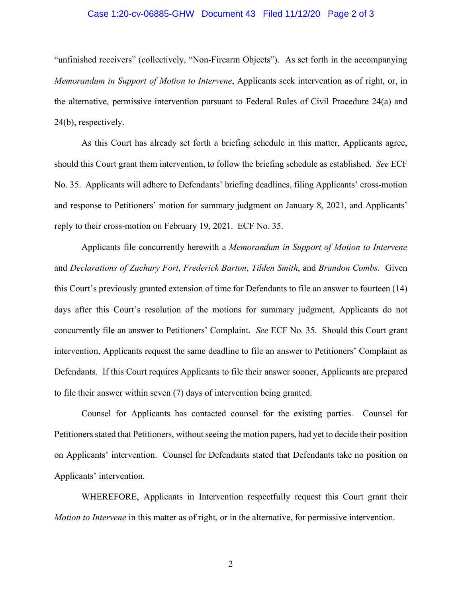## Case 1:20-cv-06885-GHW Document 43 Filed 11/12/20 Page 2 of 3

"unfinished receivers" (collectively, "Non-Firearm Objects"). As set forth in the accompanying *Memorandum in Support of Motion to Intervene*, Applicants seek intervention as of right, or, in the alternative, permissive intervention pursuant to Federal Rules of Civil Procedure 24(a) and 24(b), respectively.

As this Court has already set forth a briefing schedule in this matter, Applicants agree, should this Court grant them intervention, to follow the briefing schedule as established. *See* ECF No. 35. Applicants will adhere to Defendants' briefing deadlines, filing Applicants' cross-motion and response to Petitioners' motion for summary judgment on January 8, 2021, and Applicants' reply to their cross-motion on February 19, 2021. ECF No. 35.

Applicants file concurrently herewith a *Memorandum in Support of Motion to Intervene* and *Declarations of Zachary Fort*, *Frederick Barton*, *Tilden Smith*, and *Brandon Combs*. Given this Court's previously granted extension of time for Defendants to file an answer to fourteen (14) days after this Court's resolution of the motions for summary judgment, Applicants do not concurrently file an answer to Petitioners' Complaint. *See* ECF No. 35. Should this Court grant intervention, Applicants request the same deadline to file an answer to Petitioners' Complaint as Defendants. If this Court requires Applicants to file their answer sooner, Applicants are prepared to file their answer within seven (7) days of intervention being granted.

Counsel for Applicants has contacted counsel for the existing parties. Counsel for Petitioners stated that Petitioners, without seeing the motion papers, had yet to decide their position on Applicants' intervention. Counsel for Defendants stated that Defendants take no position on Applicants' intervention.

WHEREFORE, Applicants in Intervention respectfully request this Court grant their *Motion to Intervene* in this matter as of right, or in the alternative, for permissive intervention.

2